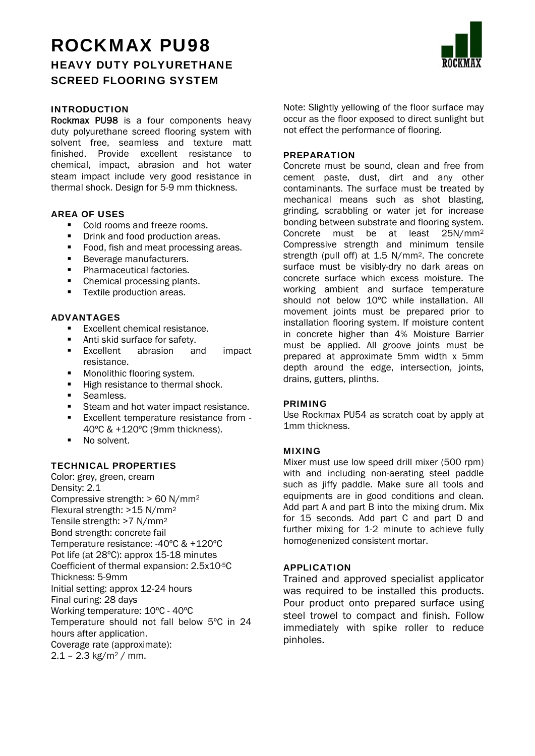# ROCKMAX PU98 HEAVY DUTY POLYURETHANE SCREED FLOORING SYSTEM

# INTRODUCTION

Rockmax PU98 is a four components heavy duty polyurethane screed flooring system with solvent free, seamless and texture matt finished. Provide excellent resistance to chemical, impact, abrasion and hot water steam impact include very good resistance in thermal shock. Design for 5-9 mm thickness.

## AREA OF USES

- Cold rooms and freeze rooms.
- **•** Drink and food production areas.
- Food, fish and meat processing areas.
- **Beverage manufacturers.**
- **Pharmaceutical factories.**
- Chemical processing plants.
- **Textile production areas.**

### ADVANTAGES

- Excellent chemical resistance.
- Anti skid surface for safety.
- **Excellent** abrasion and impact resistance.
- **Monolithic flooring system.**
- High resistance to thermal shock.
- **Seamless.**
- Steam and hot water impact resistance.
- **Excellent temperature resistance from -**40ºC & +120ºC (9mm thickness).
- No solvent.

## TECHNICAL PROPERTIES

Color: grey, green, cream Density: 2.1 Compressive strength: > 60 N/mm2 Flexural strength: >15 N/mm2 Tensile strength: >7 N/mm2 Bond strength: concrete fail Temperature resistance: -40ºC & +120ºC Pot life (at 28ºC): approx 15-18 minutes Coefficient of thermal expansion: 2.5x10-5C Thickness: 5-9mm Initial setting: approx 12-24 hours Final curing: 28 days Working temperature: 10ºC - 40ºC Temperature should not fall below 5ºC in 24 hours after application. Coverage rate (approximate):  $2.1 - 2.3$  kg/m<sup>2</sup> / mm.

Note: Slightly yellowing of the floor surface may occur as the floor exposed to direct sunlight but not effect the performance of flooring.

### **PREPARATION**

Concrete must be sound, clean and free from cement paste, dust, dirt and any other contaminants. The surface must be treated by mechanical means such as shot blasting, grinding, scrabbling or water jet for increase bonding between substrate and flooring system. Concrete must be at least 25N/mm2 Compressive strength and minimum tensile strength (pull off) at 1.5 N/mm<sup>2</sup>. The concrete surface must be visibly-dry no dark areas on concrete surface which excess moisture. The working ambient and surface temperature should not below 10°C while installation. All movement joints must be prepared prior to installation flooring system. If moisture content in concrete higher than 4% Moisture Barrier must be applied. All groove joints must be prepared at approximate 5mm width x 5mm depth around the edge, intersection, joints, drains, gutters, plinths.

## PRIMING

Use Rockmax PU54 as scratch coat by apply at 1mm thickness.

## MIXING

Mixer must use low speed drill mixer (500 rpm) with and including non-aerating steel paddle such as jiffy paddle. Make sure all tools and equipments are in good conditions and clean. Add part A and part B into the mixing drum. Mix for 15 seconds. Add part C and part D and further mixing for 1-2 minute to achieve fully homogenenized consistent mortar.

## APPLICATION

Trained and approved specialist applicator was required to be installed this products. Pour product onto prepared surface using steel trowel to compact and finish. Follow immediately with spike roller to reduce pinholes.